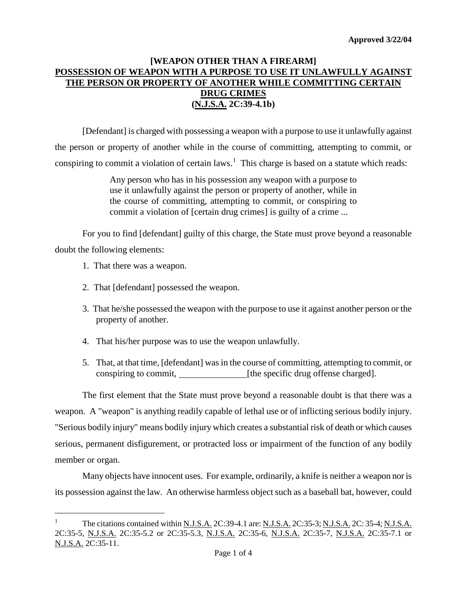## **[WEAPON OTHER THAN A FIREARM] POSSESSION OF WEAPON WITH A PURPOSE TO USE IT UNLAWFULLY AGAINST THE PERSON OR PROPERTY OF ANOTHER WHILE COMMITTING CERTAIN DRUG CRIMES (N.J.S.A. 2C:39-4.1b)**

[Defendant] is charged with possessing a weapon with a purpose to use it unlawfully against the person or property of another while in the course of committing, attempting to commit, or conspiring to commit a violation of certain laws.<sup>[1](#page-1-0)</sup> This charge is based on a statute which reads:

> Any person who has in his possession any weapon with a purpose to use it unlawfully against the person or property of another, while in the course of committing, attempting to commit, or conspiring to commit a violation of [certain drug crimes] is guilty of a crime ...

For you to find [defendant] guilty of this charge, the State must prove beyond a reasonable doubt the following elements:

- 1. That there was a weapon.
- 2. That [defendant] possessed the weapon.
- 3. That he/she possessed the weapon with the purpose to use it against another person or the property of another.
- 4. That his/her purpose was to use the weapon unlawfully.
- 5. That, at that time, [defendant] was in the course of committing, attempting to commit, or conspiring to commit, [the specific drug offense charged].

The first element that the State must prove beyond a reasonable doubt is that there was a weapon. A "weapon" is anything readily capable of lethal use or of inflicting serious bodily injury. "Serious bodily injury" means bodily injury which creates a substantial risk of death or which causes serious, permanent disfigurement, or protracted loss or impairment of the function of any bodily member or organ.

<span id="page-0-0"></span>Many objects have innocent uses. For example, ordinarily, a knife is neither a weapon nor is its possession against the law. An otherwise harmless object such as a baseball bat, however, could

 $1$ The citations contained within N.J.S.A. 2C:39-4.1 are: N.J.S.A. 2C:35-3; N.J.S.A. 2C: 35-4; N.J.S.A. 2C:35-5, N.J.S.A. 2C:35-5.2 or 2C:35-5.3, N.J.S.A. 2C:35-6, N.J.S.A. 2C:35-7, N.J.S.A. 2C:35-7.1 or N.J.S.A. 2C:35-11.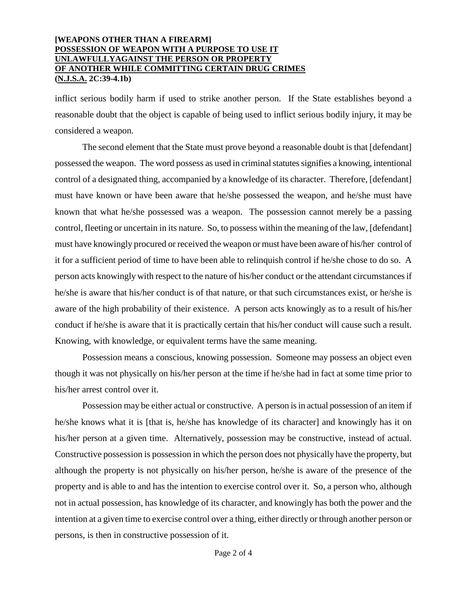### **[WEAPONS OTHER THAN A FIREARM] POSSESSION OF WEAPON WITH A PURPOSE TO USE IT UNLAWFULLYAGAINST THE PERSON OR PROPERTY OF ANOTHER WHILE COMMITTING CERTAIN DRUG CRIMES (N.J.S.A. 2C:39-4.1b)**

inflict serious bodily harm if used to strike another person. If the State establishes beyond a reasonable doubt that the object is capable of being used to inflict serious bodily injury, it may be considered a weapon.

The second element that the State must prove beyond a reasonable doubt is that [defendant] possessed the weapon. The word possess as used in criminal statutes signifies a knowing, intentional control of a designated thing, accompanied by a knowledge of its character. Therefore, [defendant] must have known or have been aware that he/she possessed the weapon, and he/she must have known that what he/she possessed was a weapon. The possession cannot merely be a passing control, fleeting or uncertain in its nature. So, to possess within the meaning of the law, [defendant] must have knowingly procured or received the weapon or must have been aware of his/her control of it for a sufficient period of time to have been able to relinquish control if he/she chose to do so. A person acts knowingly with respect to the nature of his/her conduct or the attendant circumstances if he/she is aware that his/her conduct is of that nature, or that such circumstances exist, or he/she is aware of the high probability of their existence. A person acts knowingly as to a result of his/her conduct if he/she is aware that it is practically certain that his/her conduct will cause such a result. Knowing, with knowledge, or equivalent terms have the same meaning.

Possession means a conscious, knowing possession. Someone may possess an object even though it was not physically on his/her person at the time if he/she had in fact at some time prior to his/her arrest control over it.

<span id="page-1-0"></span>Possession may be either actual or constructive. A person is in actual possession of an item if he/she knows what it is [that is, he/she has knowledge of its character] and knowingly has it on his/her person at a given time. Alternatively, possession may be constructive, instead of actual. Constructive possession is possession in which the person does not physically have the property, but although the property is not physically on his/her person, he/she is aware of the presence of the property and is able to and has the intention to exercise control over it. So, a person who, although not in actual possession, has knowledge of its character, and knowingly has both the power and the intention at a given time to exercise control over a thing, either directly or through another person or persons, is then in constructive possession of it.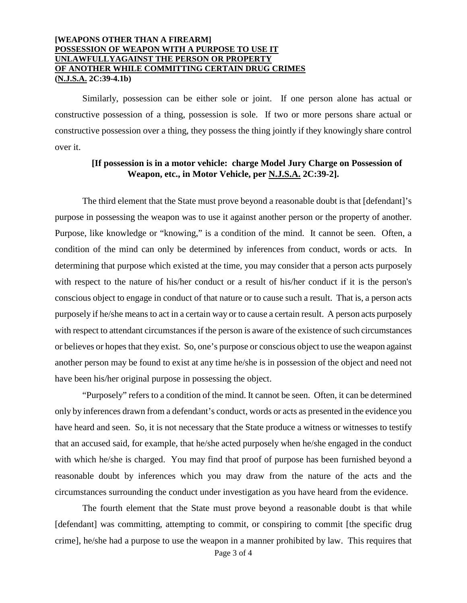### **[WEAPONS OTHER THAN A FIREARM] POSSESSION OF WEAPON WITH A PURPOSE TO USE IT UNLAWFULLYAGAINST THE PERSON OR PROPERTY OF ANOTHER WHILE COMMITTING CERTAIN DRUG CRIMES (N.J.S.A. 2C:39-4.1b)**

Similarly, possession can be either sole or joint. If one person alone has actual or constructive possession of a thing, possession is sole. If two or more persons share actual or constructive possession over a thing, they possess the thing jointly if they knowingly share control over it.

### **[If possession is in a motor vehicle: charge Model Jury Charge on Possession of Weapon, etc., in Motor Vehicle, per N.J.S.A. 2C:39-2].**

The third element that the State must prove beyond a reasonable doubt is that [defendant]'s purpose in possessing the weapon was to use it against another person or the property of another. Purpose, like knowledge or "knowing," is a condition of the mind. It cannot be seen. Often, a condition of the mind can only be determined by inferences from conduct, words or acts. In determining that purpose which existed at the time, you may consider that a person acts purposely with respect to the nature of his/her conduct or a result of his/her conduct if it is the person's conscious object to engage in conduct of that nature or to cause such a result. That is, a person acts purposely if he/she means to act in a certain way or to cause a certain result. A person acts purposely with respect to attendant circumstances if the person is aware of the existence of such circumstances or believes or hopes that they exist. So, one's purpose or conscious object to use the weapon against another person may be found to exist at any time he/she is in possession of the object and need not have been his/her original purpose in possessing the object.

"Purposely" refers to a condition of the mind. It cannot be seen. Often, it can be determined only by inferences drawn from a defendant's conduct, words or acts as presented in the evidence you have heard and seen. So, it is not necessary that the State produce a witness or witnesses to testify that an accused said, for example, that he/she acted purposely when he/she engaged in the conduct with which he/she is charged. You may find that proof of purpose has been furnished beyond a reasonable doubt by inferences which you may draw from the nature of the acts and the circumstances surrounding the conduct under investigation as you have heard from the evidence.

The fourth element that the State must prove beyond a reasonable doubt is that while [defendant] was committing, attempting to commit, or conspiring to commit [the specific drug crime], he/she had a purpose to use the weapon in a manner prohibited by law. This requires that